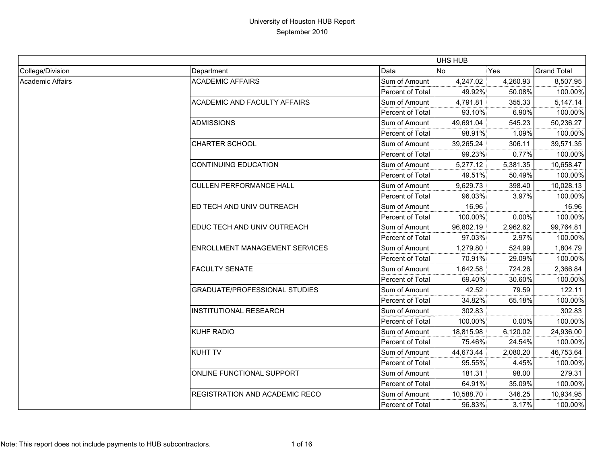|                  |                                      |                  | UHS HUB   |          |                    |
|------------------|--------------------------------------|------------------|-----------|----------|--------------------|
| College/Division | Department                           | Data             | No        | Yes      | <b>Grand Total</b> |
| Academic Affairs | <b>ACADEMIC AFFAIRS</b>              | Sum of Amount    | 4,247.02  | 4,260.93 | 8,507.95           |
|                  |                                      | Percent of Total | 49.92%    | 50.08%   | 100.00%            |
|                  | <b>ACADEMIC AND FACULTY AFFAIRS</b>  | Sum of Amount    | 4,791.81  | 355.33   | 5,147.14           |
|                  |                                      | Percent of Total | 93.10%    | 6.90%    | 100.00%            |
|                  | <b>ADMISSIONS</b>                    | Sum of Amount    | 49,691.04 | 545.23   | 50,236.27          |
|                  |                                      | Percent of Total | 98.91%    | 1.09%    | 100.00%            |
|                  | <b>CHARTER SCHOOL</b>                | Sum of Amount    | 39,265.24 | 306.11   | 39,571.35          |
|                  |                                      | Percent of Total | 99.23%    | 0.77%    | 100.00%            |
|                  | <b>CONTINUING EDUCATION</b>          | Sum of Amount    | 5,277.12  | 5,381.35 | 10,658.47          |
|                  |                                      | Percent of Total | 49.51%    | 50.49%   | 100.00%            |
|                  | <b>CULLEN PERFORMANCE HALL</b>       | Sum of Amount    | 9,629.73  | 398.40   | 10,028.13          |
|                  |                                      | Percent of Total | 96.03%    | 3.97%    | 100.00%            |
|                  | ED TECH AND UNIV OUTREACH            | Sum of Amount    | 16.96     |          | 16.96              |
|                  |                                      | Percent of Total | 100.00%   | 0.00%    | 100.00%            |
|                  | EDUC TECH AND UNIV OUTREACH          | Sum of Amount    | 96,802.19 | 2,962.62 | 99,764.81          |
|                  |                                      | Percent of Total | 97.03%    | 2.97%    | 100.00%            |
|                  | ENROLLMENT MANAGEMENT SERVICES       | Sum of Amount    | 1,279.80  | 524.99   | 1,804.79           |
|                  |                                      | Percent of Total | 70.91%    | 29.09%   | 100.00%            |
|                  | <b>FACULTY SENATE</b>                | Sum of Amount    | 1,642.58  | 724.26   | 2,366.84           |
|                  |                                      | Percent of Total | 69.40%    | 30.60%   | 100.00%            |
|                  | <b>GRADUATE/PROFESSIONAL STUDIES</b> | Sum of Amount    | 42.52     | 79.59    | 122.11             |
|                  |                                      | Percent of Total | 34.82%    | 65.18%   | 100.00%            |
|                  | <b>INSTITUTIONAL RESEARCH</b>        | Sum of Amount    | 302.83    |          | 302.83             |
|                  |                                      | Percent of Total | 100.00%   | 0.00%    | 100.00%            |
|                  | <b>KUHF RADIO</b>                    | Sum of Amount    | 18,815.98 | 6,120.02 | 24,936.00          |
|                  |                                      | Percent of Total | 75.46%    | 24.54%   | 100.00%            |
|                  | <b>KUHT TV</b>                       | Sum of Amount    | 44,673.44 | 2,080.20 | 46,753.64          |
|                  |                                      | Percent of Total | 95.55%    | 4.45%    | 100.00%            |
|                  | ONLINE FUNCTIONAL SUPPORT            | Sum of Amount    | 181.31    | 98.00    | 279.31             |
|                  |                                      | Percent of Total | 64.91%    | 35.09%   | 100.00%            |
|                  | REGISTRATION AND ACADEMIC RECO       | Sum of Amount    | 10,588.70 | 346.25   | 10,934.95          |
|                  |                                      | Percent of Total | 96.83%    | 3.17%    | 100.00%            |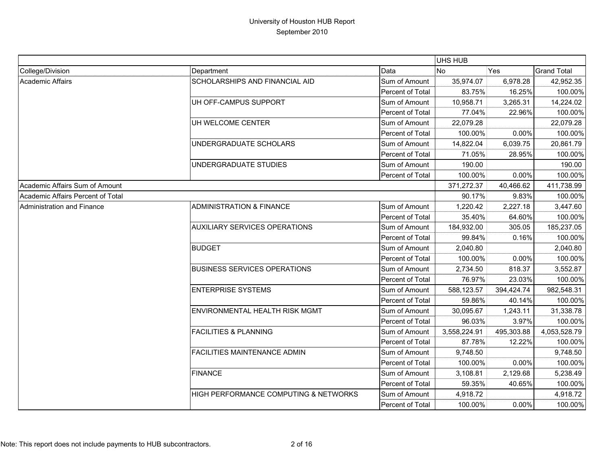|                                   |                                       |                  | UHS HUB      |            |                    |
|-----------------------------------|---------------------------------------|------------------|--------------|------------|--------------------|
| College/Division                  | Department                            | Data             | <b>No</b>    | Yes        | <b>Grand Total</b> |
| <b>Academic Affairs</b>           | SCHOLARSHIPS AND FINANCIAL AID        | Sum of Amount    | 35,974.07    | 6,978.28   | 42,952.35          |
|                                   |                                       | Percent of Total | 83.75%       | 16.25%     | 100.00%            |
|                                   | UH OFF-CAMPUS SUPPORT                 | Sum of Amount    | 10,958.71    | 3,265.31   | 14,224.02          |
|                                   |                                       | Percent of Total | 77.04%       | 22.96%     | 100.00%            |
|                                   | UH WELCOME CENTER                     | Sum of Amount    | 22,079.28    |            | 22,079.28          |
|                                   |                                       | Percent of Total | 100.00%      | 0.00%      | 100.00%            |
|                                   | UNDERGRADUATE SCHOLARS                | Sum of Amount    | 14,822.04    | 6,039.75   | 20,861.79          |
|                                   |                                       | Percent of Total | 71.05%       | 28.95%     | 100.00%            |
|                                   | UNDERGRADUATE STUDIES                 | Sum of Amount    | 190.00       |            | 190.00             |
|                                   |                                       | Percent of Total | 100.00%      | 0.00%      | 100.00%            |
| Academic Affairs Sum of Amount    |                                       |                  | 371,272.37   | 40,466.62  | 411,738.99         |
| Academic Affairs Percent of Total |                                       |                  | 90.17%       | 9.83%      | 100.00%            |
| Administration and Finance        | <b>ADMINISTRATION &amp; FINANCE</b>   | Sum of Amount    | 1,220.42     | 2,227.18   | 3,447.60           |
|                                   |                                       | Percent of Total | 35.40%       | 64.60%     | 100.00%            |
|                                   | <b>AUXILIARY SERVICES OPERATIONS</b>  | Sum of Amount    | 184,932.00   | 305.05     | 185,237.05         |
|                                   |                                       | Percent of Total | 99.84%       | 0.16%      | 100.00%            |
|                                   | <b>BUDGET</b>                         | Sum of Amount    | 2,040.80     |            | 2,040.80           |
|                                   |                                       | Percent of Total | 100.00%      | 0.00%      | 100.00%            |
|                                   | <b>BUSINESS SERVICES OPERATIONS</b>   | Sum of Amount    | 2,734.50     | 818.37     | 3,552.87           |
|                                   |                                       | Percent of Total | 76.97%       | 23.03%     | 100.00%            |
|                                   | <b>ENTERPRISE SYSTEMS</b>             | Sum of Amount    | 588,123.57   | 394,424.74 | 982,548.31         |
|                                   |                                       | Percent of Total | 59.86%       | 40.14%     | 100.00%            |
|                                   | <b>ENVIRONMENTAL HEALTH RISK MGMT</b> | Sum of Amount    | 30,095.67    | 1,243.11   | 31,338.78          |
|                                   |                                       | Percent of Total | 96.03%       | 3.97%      | 100.00%            |
|                                   | <b>FACILITIES &amp; PLANNING</b>      | Sum of Amount    | 3,558,224.91 | 495,303.88 | 4,053,528.79       |
|                                   |                                       | Percent of Total | 87.78%       | 12.22%     | 100.00%            |
|                                   | <b>FACILITIES MAINTENANCE ADMIN</b>   | Sum of Amount    | 9,748.50     |            | 9,748.50           |
|                                   |                                       | Percent of Total | 100.00%      | 0.00%      | 100.00%            |
|                                   | <b>FINANCE</b>                        | Sum of Amount    | 3,108.81     | 2,129.68   | 5,238.49           |
|                                   |                                       | Percent of Total | 59.35%       | 40.65%     | 100.00%            |
|                                   | HIGH PERFORMANCE COMPUTING & NETWORKS | Sum of Amount    | 4,918.72     |            | 4,918.72           |
|                                   |                                       | Percent of Total | 100.00%      | 0.00%      | 100.00%            |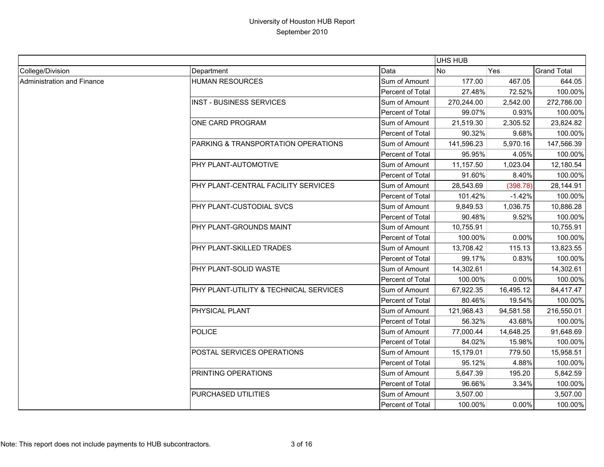|                            |                                        |                  | UHS HUB    |           |                    |
|----------------------------|----------------------------------------|------------------|------------|-----------|--------------------|
| College/Division           | Department                             | Data             | <b>No</b>  | Yes       | <b>Grand Total</b> |
| Administration and Finance | <b>HUMAN RESOURCES</b>                 | Sum of Amount    | 177.00     | 467.05    | 644.05             |
|                            |                                        | Percent of Total | 27.48%     | 72.52%    | 100.00%            |
|                            | <b>INST - BUSINESS SERVICES</b>        | Sum of Amount    | 270,244.00 | 2,542.00  | 272,786.00         |
|                            |                                        | Percent of Total | 99.07%     | 0.93%     | 100.00%            |
|                            | ONE CARD PROGRAM                       | Sum of Amount    | 21,519.30  | 2,305.52  | 23,824.82          |
|                            |                                        | Percent of Total | 90.32%     | 9.68%     | 100.00%            |
|                            | PARKING & TRANSPORTATION OPERATIONS    | Sum of Amount    | 141,596.23 | 5,970.16  | 147,566.39         |
|                            |                                        | Percent of Total | 95.95%     | 4.05%     | 100.00%            |
|                            | PHY PLANT-AUTOMOTIVE                   | Sum of Amount    | 11,157.50  | 1,023.04  | 12,180.54          |
|                            |                                        | Percent of Total | 91.60%     | 8.40%     | 100.00%            |
|                            | PHY PLANT-CENTRAL FACILITY SERVICES    | Sum of Amount    | 28,543.69  | (398.78)  | 28,144.91          |
|                            |                                        | Percent of Total | 101.42%    | $-1.42%$  | 100.00%            |
|                            | PHY PLANT-CUSTODIAL SVCS               | Sum of Amount    | 9,849.53   | 1,036.75  | 10,886.28          |
|                            |                                        | Percent of Total | 90.48%     | 9.52%     | 100.00%            |
|                            | PHY PLANT-GROUNDS MAINT                | Sum of Amount    | 10,755.91  |           | 10,755.91          |
|                            |                                        | Percent of Total | 100.00%    | 0.00%     | 100.00%            |
|                            | PHY PLANT-SKILLED TRADES               | Sum of Amount    | 13,708.42  | 115.13    | 13,823.55          |
|                            |                                        | Percent of Total | 99.17%     | 0.83%     | 100.00%            |
|                            | PHY PLANT-SOLID WASTE                  | Sum of Amount    | 14,302.61  |           | 14,302.61          |
|                            |                                        | Percent of Total | 100.00%    | 0.00%     | 100.00%            |
|                            | PHY PLANT-UTILITY & TECHNICAL SERVICES | Sum of Amount    | 67,922.35  | 16,495.12 | 84,417.47          |
|                            |                                        | Percent of Total | 80.46%     | 19.54%    | 100.00%            |
|                            | PHYSICAL PLANT                         | Sum of Amount    | 121,968.43 | 94,581.58 | 216,550.01         |
|                            |                                        | Percent of Total | 56.32%     | 43.68%    | 100.00%            |
|                            | POLICE                                 | Sum of Amount    | 77,000.44  | 14,648.25 | 91,648.69          |
|                            |                                        | Percent of Total | 84.02%     | 15.98%    | 100.00%            |
|                            | POSTAL SERVICES OPERATIONS             | Sum of Amount    | 15,179.01  | 779.50    | 15,958.51          |
|                            |                                        | Percent of Total | 95.12%     | 4.88%     | 100.00%            |
|                            | PRINTING OPERATIONS                    | Sum of Amount    | 5,647.39   | 195.20    | 5,842.59           |
|                            |                                        | Percent of Total | 96.66%     | 3.34%     | 100.00%            |
|                            | PURCHASED UTILITIES                    | Sum of Amount    | 3,507.00   |           | 3,507.00           |
|                            |                                        | Percent of Total | 100.00%    | 0.00%     | 100.00%            |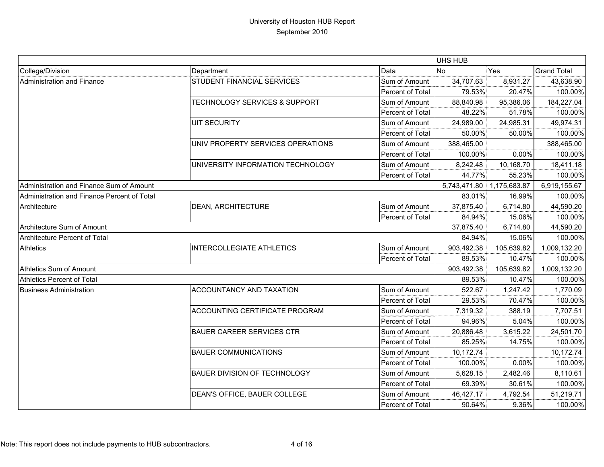|                                             |                                          |                  | UHS HUB      |              |                    |
|---------------------------------------------|------------------------------------------|------------------|--------------|--------------|--------------------|
| College/Division                            | Department                               | Data             | <b>No</b>    | Yes          | <b>Grand Total</b> |
| Administration and Finance                  | STUDENT FINANCIAL SERVICES               | Sum of Amount    | 34,707.63    | 8,931.27     | 43,638.90          |
|                                             |                                          | Percent of Total | 79.53%       | 20.47%       | 100.00%            |
|                                             | <b>TECHNOLOGY SERVICES &amp; SUPPORT</b> | Sum of Amount    | 88,840.98    | 95,386.06    | 184,227.04         |
|                                             |                                          | Percent of Total | 48.22%       | 51.78%       | 100.00%            |
|                                             | <b>UIT SECURITY</b>                      | Sum of Amount    | 24,989.00    | 24,985.31    | 49,974.31          |
|                                             |                                          | Percent of Total | 50.00%       | 50.00%       | 100.00%            |
|                                             | UNIV PROPERTY SERVICES OPERATIONS        | Sum of Amount    | 388,465.00   |              | 388,465.00         |
|                                             |                                          | Percent of Total | 100.00%      | 0.00%        | 100.00%            |
|                                             | UNIVERSITY INFORMATION TECHNOLOGY        | Sum of Amount    | 8,242.48     | 10,168.70    | 18,411.18          |
|                                             |                                          | Percent of Total | 44.77%       | 55.23%       | 100.00%            |
| Administration and Finance Sum of Amount    |                                          |                  | 5,743,471.80 | 1,175,683.87 | 6,919,155.67       |
| Administration and Finance Percent of Total |                                          |                  | 83.01%       | 16.99%       | 100.00%            |
| Architecture                                | <b>DEAN, ARCHITECTURE</b>                | Sum of Amount    | 37,875.40    | 6,714.80     | 44,590.20          |
|                                             |                                          | Percent of Total | 84.94%       | 15.06%       | 100.00%            |
| Architecture Sum of Amount                  |                                          |                  | 37,875.40    | 6,714.80     | 44,590.20          |
| Architecture Percent of Total               |                                          |                  | 84.94%       | 15.06%       | 100.00%            |
| Athletics                                   | <b>INTERCOLLEGIATE ATHLETICS</b>         | Sum of Amount    | 903,492.38   | 105,639.82   | 1,009,132.20       |
|                                             |                                          | Percent of Total | 89.53%       | 10.47%       | 100.00%            |
| Athletics Sum of Amount                     |                                          |                  | 903,492.38   | 105,639.82   | 1,009,132.20       |
| <b>Athletics Percent of Total</b>           |                                          |                  | 89.53%       | 10.47%       | 100.00%            |
| <b>Business Administration</b>              | ACCOUNTANCY AND TAXATION                 | Sum of Amount    | 522.67       | 1,247.42     | 1,770.09           |
|                                             |                                          | Percent of Total | 29.53%       | 70.47%       | 100.00%            |
|                                             | <b>ACCOUNTING CERTIFICATE PROGRAM</b>    | Sum of Amount    | 7,319.32     | 388.19       | 7,707.51           |
|                                             |                                          | Percent of Total | 94.96%       | 5.04%        | 100.00%            |
|                                             | <b>BAUER CAREER SERVICES CTR</b>         | Sum of Amount    | 20,886.48    | 3,615.22     | 24,501.70          |
|                                             |                                          | Percent of Total | 85.25%       | 14.75%       | 100.00%            |
|                                             | <b>BAUER COMMUNICATIONS</b>              | Sum of Amount    | 10,172.74    |              | 10,172.74          |
|                                             |                                          | Percent of Total | 100.00%      | 0.00%        | 100.00%            |
|                                             | <b>BAUER DIVISION OF TECHNOLOGY</b>      | Sum of Amount    | 5,628.15     | 2,482.46     | 8,110.61           |
|                                             |                                          | Percent of Total | 69.39%       | 30.61%       | 100.00%            |
|                                             | DEAN'S OFFICE, BAUER COLLEGE             | Sum of Amount    | 46,427.17    | 4,792.54     | 51,219.71          |
|                                             |                                          | Percent of Total | 90.64%       | 9.36%        | 100.00%            |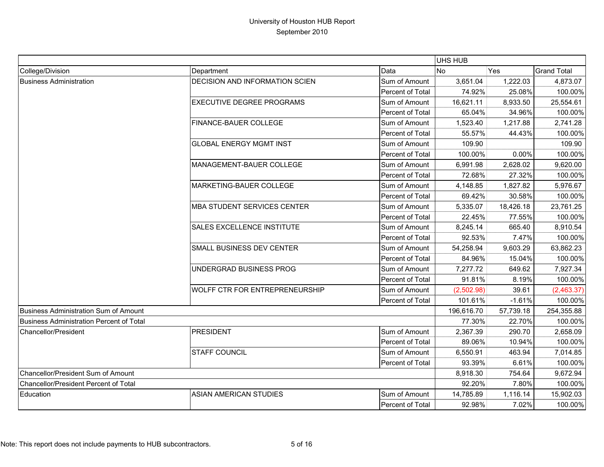|                                              |                                       |                  | UHS HUB    |            |                    |
|----------------------------------------------|---------------------------------------|------------------|------------|------------|--------------------|
| College/Division                             | Department                            | Data             | <b>No</b>  | <b>Yes</b> | <b>Grand Total</b> |
| <b>Business Administration</b>               | <b>DECISION AND INFORMATION SCIEN</b> | Sum of Amount    | 3,651.04   | 1,222.03   | 4,873.07           |
|                                              |                                       | Percent of Total | 74.92%     | 25.08%     | 100.00%            |
|                                              | <b>EXECUTIVE DEGREE PROGRAMS</b>      | Sum of Amount    | 16,621.11  | 8,933.50   | 25,554.61          |
|                                              |                                       | Percent of Total | 65.04%     | 34.96%     | 100.00%            |
|                                              | FINANCE-BAUER COLLEGE                 | Sum of Amount    | 1,523.40   | 1,217.88   | 2,741.28           |
|                                              |                                       | Percent of Total | 55.57%     | 44.43%     | 100.00%            |
|                                              | <b>GLOBAL ENERGY MGMT INST</b>        | Sum of Amount    | 109.90     |            | 109.90             |
|                                              |                                       | Percent of Total | 100.00%    | 0.00%      | 100.00%            |
|                                              | MANAGEMENT-BAUER COLLEGE              | Sum of Amount    | 6,991.98   | 2,628.02   | 9,620.00           |
|                                              |                                       | Percent of Total | 72.68%     | 27.32%     | 100.00%            |
|                                              | <b>MARKETING-BAUER COLLEGE</b>        | Sum of Amount    | 4,148.85   | 1,827.82   | 5,976.67           |
|                                              |                                       | Percent of Total | 69.42%     | 30.58%     | 100.00%            |
|                                              | <b>MBA STUDENT SERVICES CENTER</b>    | Sum of Amount    | 5,335.07   | 18,426.18  | 23,761.25          |
|                                              |                                       | Percent of Total | 22.45%     | 77.55%     | 100.00%            |
|                                              | <b>SALES EXCELLENCE INSTITUTE</b>     | Sum of Amount    | 8,245.14   | 665.40     | 8,910.54           |
|                                              |                                       | Percent of Total | 92.53%     | 7.47%      | 100.00%            |
|                                              | SMALL BUSINESS DEV CENTER             | Sum of Amount    | 54,258.94  | 9,603.29   | 63,862.23          |
|                                              |                                       | Percent of Total | 84.96%     | 15.04%     | 100.00%            |
|                                              | UNDERGRAD BUSINESS PROG               | Sum of Amount    | 7,277.72   | 649.62     | 7,927.34           |
|                                              |                                       | Percent of Total | 91.81%     | 8.19%      | 100.00%            |
|                                              | <b>WOLFF CTR FOR ENTREPRENEURSHIP</b> | Sum of Amount    | (2,502.98) | 39.61      | (2,463.37)         |
|                                              |                                       | Percent of Total | 101.61%    | $-1.61%$   | 100.00%            |
| <b>Business Administration Sum of Amount</b> |                                       |                  | 196,616.70 | 57,739.18  | 254,355.88         |
| Business Administration Percent of Total     |                                       |                  | 77.30%     | 22.70%     | 100.00%            |
| <b>Chancellor/President</b>                  | <b>PRESIDENT</b>                      | Sum of Amount    | 2,367.39   | 290.70     | 2,658.09           |
|                                              |                                       | Percent of Total | 89.06%     | 10.94%     | 100.00%            |
|                                              | <b>STAFF COUNCIL</b>                  | Sum of Amount    | 6,550.91   | 463.94     | 7,014.85           |
|                                              |                                       | Percent of Total | 93.39%     | 6.61%      | 100.00%            |
| Chancellor/President Sum of Amount           |                                       |                  | 8,918.30   | 754.64     | 9,672.94           |
| Chancellor/President Percent of Total        |                                       |                  | 92.20%     | 7.80%      | 100.00%            |
| Education                                    | <b>ASIAN AMERICAN STUDIES</b>         | Sum of Amount    | 14,785.89  | 1,116.14   | 15,902.03          |
|                                              |                                       | Percent of Total | 92.98%     | 7.02%      | 100.00%            |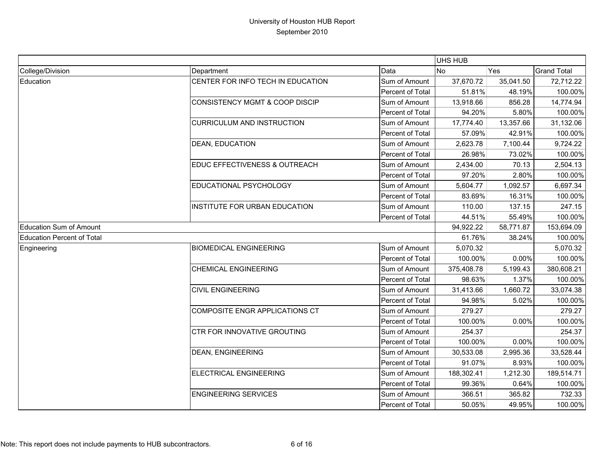|                                   |                                           |                  | UHS HUB    |           |                    |
|-----------------------------------|-------------------------------------------|------------------|------------|-----------|--------------------|
| College/Division                  | Department                                | Data             | <b>No</b>  | Yes       | <b>Grand Total</b> |
| Education                         | CENTER FOR INFO TECH IN EDUCATION         | Sum of Amount    | 37,670.72  | 35,041.50 | 72,712.22          |
|                                   |                                           | Percent of Total | 51.81%     | 48.19%    | 100.00%            |
|                                   | <b>CONSISTENCY MGMT &amp; COOP DISCIP</b> | Sum of Amount    | 13,918.66  | 856.28    | 14,774.94          |
|                                   |                                           | Percent of Total | 94.20%     | 5.80%     | 100.00%            |
|                                   | <b>CURRICULUM AND INSTRUCTION</b>         | Sum of Amount    | 17,774.40  | 13,357.66 | 31,132.06          |
|                                   |                                           | Percent of Total | 57.09%     | 42.91%    | 100.00%            |
|                                   | <b>DEAN, EDUCATION</b>                    | Sum of Amount    | 2,623.78   | 7,100.44  | 9,724.22           |
|                                   |                                           | Percent of Total | 26.98%     | 73.02%    | 100.00%            |
|                                   | EDUC EFFECTIVENESS & OUTREACH             | Sum of Amount    | 2,434.00   | 70.13     | 2,504.13           |
|                                   |                                           | Percent of Total | 97.20%     | 2.80%     | 100.00%            |
|                                   | EDUCATIONAL PSYCHOLOGY                    | Sum of Amount    | 5,604.77   | 1,092.57  | 6,697.34           |
|                                   |                                           | Percent of Total | 83.69%     | 16.31%    | 100.00%            |
|                                   | INSTITUTE FOR URBAN EDUCATION             | Sum of Amount    | 110.00     | 137.15    | 247.15             |
|                                   |                                           | Percent of Total | 44.51%     | 55.49%    | 100.00%            |
| <b>Education Sum of Amount</b>    |                                           |                  | 94,922.22  | 58,771.87 | 153,694.09         |
| <b>Education Percent of Total</b> |                                           |                  | 61.76%     | 38.24%    | 100.00%            |
| Engineering                       | <b>BIOMEDICAL ENGINEERING</b>             | Sum of Amount    | 5,070.32   |           | 5,070.32           |
|                                   |                                           | Percent of Total | 100.00%    | 0.00%     | 100.00%            |
|                                   | <b>CHEMICAL ENGINEERING</b>               | Sum of Amount    | 375,408.78 | 5,199.43  | 380,608.21         |
|                                   |                                           | Percent of Total | 98.63%     | 1.37%     | 100.00%            |
|                                   | <b>CIVIL ENGINEERING</b>                  | Sum of Amount    | 31,413.66  | 1,660.72  | 33,074.38          |
|                                   |                                           | Percent of Total | 94.98%     | 5.02%     | 100.00%            |
|                                   | <b>COMPOSITE ENGR APPLICATIONS CT</b>     | Sum of Amount    | 279.27     |           | 279.27             |
|                                   |                                           | Percent of Total | 100.00%    | 0.00%     | 100.00%            |
|                                   | CTR FOR INNOVATIVE GROUTING               | Sum of Amount    | 254.37     |           | 254.37             |
|                                   |                                           | Percent of Total | 100.00%    | 0.00%     | 100.00%            |
|                                   | <b>DEAN, ENGINEERING</b>                  | Sum of Amount    | 30,533.08  | 2,995.36  | 33,528.44          |
|                                   |                                           | Percent of Total | 91.07%     | 8.93%     | 100.00%            |
|                                   | ELECTRICAL ENGINEERING                    | Sum of Amount    | 188,302.41 | 1,212.30  | 189,514.71         |
|                                   |                                           | Percent of Total | 99.36%     | 0.64%     | 100.00%            |
|                                   | <b>ENGINEERING SERVICES</b>               | Sum of Amount    | 366.51     | 365.82    | 732.33             |
|                                   |                                           | Percent of Total | 50.05%     | 49.95%    | 100.00%            |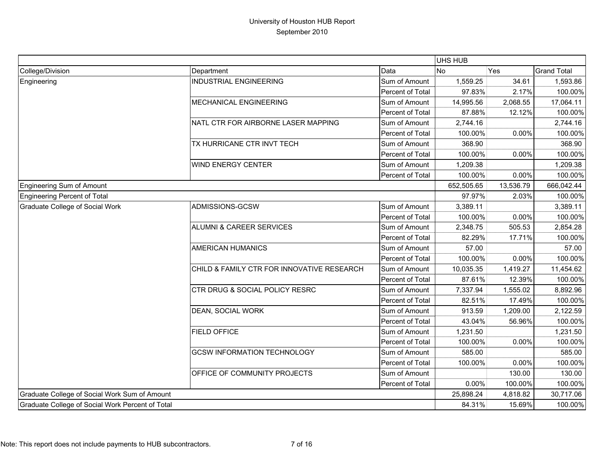|                                                  |                                            |                  | UHS HUB    |           |                    |
|--------------------------------------------------|--------------------------------------------|------------------|------------|-----------|--------------------|
| College/Division                                 | Department                                 | Data             | <b>No</b>  | Yes       | <b>Grand Total</b> |
| Engineering                                      | <b>INDUSTRIAL ENGINEERING</b>              | Sum of Amount    | 1,559.25   | 34.61     | 1,593.86           |
|                                                  |                                            | Percent of Total | 97.83%     | 2.17%     | 100.00%            |
|                                                  | <b>MECHANICAL ENGINEERING</b>              | Sum of Amount    | 14,995.56  | 2,068.55  | 17,064.11          |
|                                                  |                                            | Percent of Total | 87.88%     | 12.12%    | 100.00%            |
|                                                  | NATL CTR FOR AIRBORNE LASER MAPPING        | Sum of Amount    | 2,744.16   |           | 2,744.16           |
|                                                  |                                            | Percent of Total | 100.00%    | 0.00%     | 100.00%            |
|                                                  | TX HURRICANE CTR INVT TECH                 | Sum of Amount    | 368.90     |           | 368.90             |
|                                                  |                                            | Percent of Total | 100.00%    | 0.00%     | 100.00%            |
|                                                  | <b>WIND ENERGY CENTER</b>                  | Sum of Amount    | 1,209.38   |           | 1,209.38           |
|                                                  |                                            | Percent of Total | 100.00%    | 0.00%     | 100.00%            |
| <b>Engineering Sum of Amount</b>                 |                                            |                  | 652,505.65 | 13,536.79 | 666,042.44         |
| Engineering Percent of Total                     |                                            |                  | 97.97%     | 2.03%     | 100.00%            |
| <b>Graduate College of Social Work</b>           | ADMISSIONS-GCSW                            | Sum of Amount    | 3,389.11   |           | 3,389.11           |
|                                                  |                                            | Percent of Total | 100.00%    | 0.00%     | 100.00%            |
|                                                  | ALUMNI & CAREER SERVICES                   | Sum of Amount    | 2,348.75   | 505.53    | 2,854.28           |
|                                                  |                                            | Percent of Total | 82.29%     | 17.71%    | 100.00%            |
|                                                  | <b>AMERICAN HUMANICS</b>                   | Sum of Amount    | 57.00      |           | 57.00              |
|                                                  |                                            | Percent of Total | 100.00%    | 0.00%     | 100.00%            |
|                                                  | CHILD & FAMILY CTR FOR INNOVATIVE RESEARCH | Sum of Amount    | 10,035.35  | 1,419.27  | 11,454.62          |
|                                                  |                                            | Percent of Total | 87.61%     | 12.39%    | 100.00%            |
|                                                  | CTR DRUG & SOCIAL POLICY RESRC             | Sum of Amount    | 7,337.94   | 1,555.02  | 8,892.96           |
|                                                  |                                            | Percent of Total | 82.51%     | 17.49%    | 100.00%            |
|                                                  | DEAN, SOCIAL WORK                          | Sum of Amount    | 913.59     | 1,209.00  | 2,122.59           |
|                                                  |                                            | Percent of Total | 43.04%     | 56.96%    | 100.00%            |
|                                                  | FIELD OFFICE                               | Sum of Amount    | 1,231.50   |           | 1,231.50           |
|                                                  |                                            | Percent of Total | 100.00%    | 0.00%     | 100.00%            |
|                                                  | <b>GCSW INFORMATION TECHNOLOGY</b>         | Sum of Amount    | 585.00     |           | 585.00             |
|                                                  |                                            | Percent of Total | 100.00%    | 0.00%     | 100.00%            |
|                                                  | OFFICE OF COMMUNITY PROJECTS               | Sum of Amount    |            | 130.00    | 130.00             |
|                                                  |                                            | Percent of Total | 0.00%      | 100.00%   | 100.00%            |
| Graduate College of Social Work Sum of Amount    |                                            |                  | 25,898.24  | 4,818.82  | 30,717.06          |
| Graduate College of Social Work Percent of Total |                                            |                  | 84.31%     | 15.69%    | 100.00%            |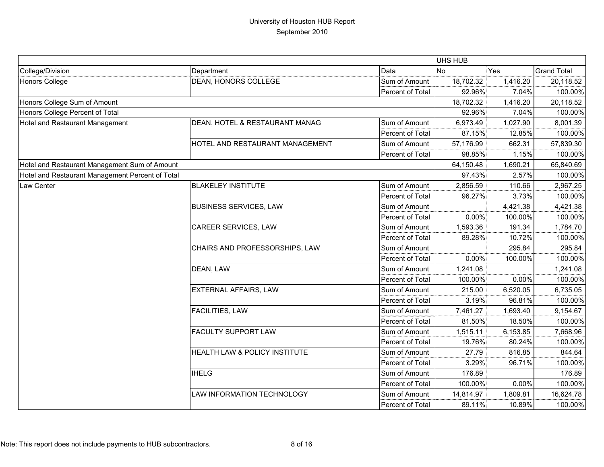|                                                  |                                 |                  | UHS HUB   |          |                    |
|--------------------------------------------------|---------------------------------|------------------|-----------|----------|--------------------|
| College/Division                                 | Department                      | Data             | <b>No</b> | Yes      | <b>Grand Total</b> |
| Honors College                                   | DEAN, HONORS COLLEGE            | Sum of Amount    | 18,702.32 | 1,416.20 | 20,118.52          |
|                                                  |                                 | Percent of Total | 92.96%    | 7.04%    | 100.00%            |
| Honors College Sum of Amount                     |                                 |                  | 18,702.32 | 1,416.20 | 20,118.52          |
| Honors College Percent of Total                  |                                 |                  | 92.96%    | 7.04%    | 100.00%            |
| Hotel and Restaurant Management                  | DEAN, HOTEL & RESTAURANT MANAG  | Sum of Amount    | 6,973.49  | 1,027.90 | 8,001.39           |
|                                                  |                                 | Percent of Total | 87.15%    | 12.85%   | 100.00%            |
|                                                  | HOTEL AND RESTAURANT MANAGEMENT | Sum of Amount    | 57,176.99 | 662.31   | 57,839.30          |
|                                                  |                                 | Percent of Total | 98.85%    | 1.15%    | 100.00%            |
| Hotel and Restaurant Management Sum of Amount    |                                 |                  | 64,150.48 | 1,690.21 | 65,840.69          |
| Hotel and Restaurant Management Percent of Total |                                 |                  | 97.43%    | 2.57%    | 100.00%            |
| Law Center                                       | <b>BLAKELEY INSTITUTE</b>       | Sum of Amount    | 2,856.59  | 110.66   | 2,967.25           |
|                                                  |                                 | Percent of Total | 96.27%    | 3.73%    | 100.00%            |
|                                                  | <b>BUSINESS SERVICES, LAW</b>   | Sum of Amount    |           | 4,421.38 | 4,421.38           |
|                                                  |                                 | Percent of Total | 0.00%     | 100.00%  | 100.00%            |
|                                                  | CAREER SERVICES, LAW            | Sum of Amount    | 1,593.36  | 191.34   | 1,784.70           |
|                                                  |                                 | Percent of Total | 89.28%    | 10.72%   | 100.00%            |
|                                                  | CHAIRS AND PROFESSORSHIPS, LAW  | Sum of Amount    |           | 295.84   | 295.84             |
|                                                  |                                 | Percent of Total | 0.00%     | 100.00%  | 100.00%            |
|                                                  | DEAN, LAW                       | Sum of Amount    | 1,241.08  |          | 1,241.08           |
|                                                  |                                 | Percent of Total | 100.00%   | 0.00%    | 100.00%            |
|                                                  | EXTERNAL AFFAIRS, LAW           | Sum of Amount    | 215.00    | 6,520.05 | 6,735.05           |
|                                                  |                                 | Percent of Total | 3.19%     | 96.81%   | 100.00%            |
|                                                  | <b>FACILITIES, LAW</b>          | Sum of Amount    | 7,461.27  | 1,693.40 | 9,154.67           |
|                                                  |                                 | Percent of Total | 81.50%    | 18.50%   | 100.00%            |
|                                                  | FACULTY SUPPORT LAW             | Sum of Amount    | 1,515.11  | 6,153.85 | 7,668.96           |
|                                                  |                                 | Percent of Total | 19.76%    | 80.24%   | 100.00%            |
|                                                  | HEALTH LAW & POLICY INSTITUTE   | Sum of Amount    | 27.79     | 816.85   | 844.64             |
|                                                  |                                 | Percent of Total | 3.29%     | 96.71%   | 100.00%            |
|                                                  | <b>IHELG</b>                    | Sum of Amount    | 176.89    |          | 176.89             |
|                                                  |                                 | Percent of Total | 100.00%   | 0.00%    | 100.00%            |
|                                                  | LAW INFORMATION TECHNOLOGY      | Sum of Amount    | 14,814.97 | 1,809.81 | 16,624.78          |
|                                                  |                                 | Percent of Total | 89.11%    | 10.89%   | 100.00%            |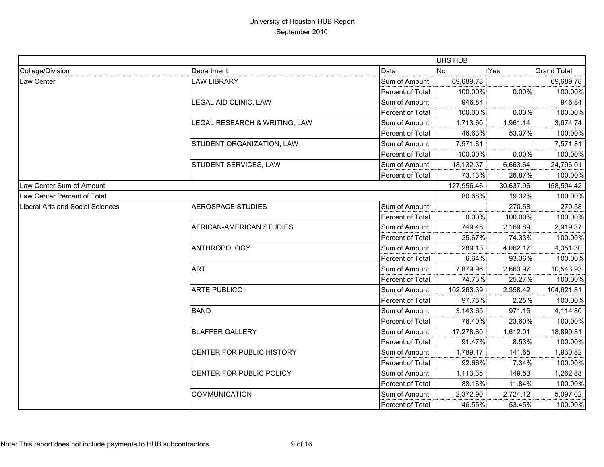|                                  |                               |                  | UHS HUB    |           |                    |
|----------------------------------|-------------------------------|------------------|------------|-----------|--------------------|
| College/Division                 | Department                    | Data             | <b>No</b>  | Yes       | <b>Grand Total</b> |
| Law Center                       | <b>LAW LIBRARY</b>            | Sum of Amount    | 69,689.78  |           | 69,689.78          |
|                                  |                               | Percent of Total | 100.00%    | 0.00%     | 100.00%            |
|                                  | LEGAL AID CLINIC, LAW         | Sum of Amount    | 946.84     |           | 946.84             |
|                                  |                               | Percent of Total | 100.00%    | 0.00%     | 100.00%            |
|                                  | LEGAL RESEARCH & WRITING, LAW | Sum of Amount    | 1,713.60   | 1,961.14  | 3,674.74           |
|                                  |                               | Percent of Total | 46.63%     | 53.37%    | 100.00%            |
|                                  | STUDENT ORGANIZATION, LAW     | Sum of Amount    | 7,571.81   |           | 7,571.81           |
|                                  |                               | Percent of Total | 100.00%    | 0.00%     | 100.00%            |
|                                  | STUDENT SERVICES, LAW         | Sum of Amount    | 18,132.37  | 6,663.64  | 24,796.01          |
|                                  |                               | Percent of Total | 73.13%     | 26.87%    | 100.00%            |
| Law Center Sum of Amount         |                               |                  | 127,956.46 | 30,637.96 | 158,594.42         |
| Law Center Percent of Total      |                               |                  | 80.68%     | 19.32%    | 100.00%            |
| Liberal Arts and Social Sciences | <b>AEROSPACE STUDIES</b>      | Sum of Amount    |            | 270.58    | 270.58             |
|                                  |                               | Percent of Total | $0.00\%$   | 100.00%   | 100.00%            |
|                                  | AFRICAN-AMERICAN STUDIES      | Sum of Amount    | 749.48     | 2,169.89  | 2,919.37           |
|                                  |                               | Percent of Total | 25.67%     | 74.33%    | 100.00%            |
|                                  | <b>ANTHROPOLOGY</b>           | Sum of Amount    | 289.13     | 4,062.17  | 4,351.30           |
|                                  |                               | Percent of Total | 6.64%      | 93.36%    | 100.00%            |
|                                  | <b>ART</b>                    | Sum of Amount    | 7,879.96   | 2,663.97  | 10,543.93          |
|                                  |                               | Percent of Total | 74.73%     | 25.27%    | 100.00%            |
|                                  | <b>ARTE PUBLICO</b>           | Sum of Amount    | 102,263.39 | 2,358.42  | 104,621.81         |
|                                  |                               | Percent of Total | 97.75%     | 2.25%     | 100.00%            |
|                                  | <b>BAND</b>                   | Sum of Amount    | 3,143.65   | 971.15    | 4,114.80           |
|                                  |                               | Percent of Total | 76.40%     | 23.60%    | 100.00%            |
|                                  | <b>BLAFFER GALLERY</b>        | Sum of Amount    | 17,278.80  | 1,612.01  | 18,890.81          |
|                                  |                               | Percent of Total | 91.47%     | 8.53%     | 100.00%            |
|                                  | CENTER FOR PUBLIC HISTORY     | Sum of Amount    | 1,789.17   | 141.65    | 1,930.82           |
|                                  |                               | Percent of Total | 92.66%     | 7.34%     | 100.00%            |
|                                  | CENTER FOR PUBLIC POLICY      | Sum of Amount    | 1,113.35   | 149.53    | 1,262.88           |
|                                  |                               | Percent of Total | 88.16%     | 11.84%    | 100.00%            |
|                                  | <b>COMMUNICATION</b>          | Sum of Amount    | 2,372.90   | 2,724.12  | 5,097.02           |
|                                  |                               | Percent of Total | 46.55%     | 53.45%    | 100.00%            |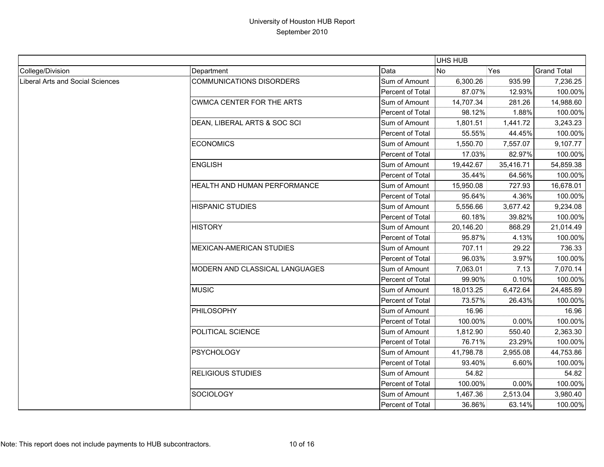|                                         |                                     |                  | UHS HUB   |           |                    |
|-----------------------------------------|-------------------------------------|------------------|-----------|-----------|--------------------|
| College/Division                        | Department                          | Data             | No        | Yes       | <b>Grand Total</b> |
| <b>Liberal Arts and Social Sciences</b> | <b>COMMUNICATIONS DISORDERS</b>     | Sum of Amount    | 6,300.26  | 935.99    | 7,236.25           |
|                                         |                                     | Percent of Total | 87.07%    | 12.93%    | 100.00%            |
|                                         | <b>CWMCA CENTER FOR THE ARTS</b>    | Sum of Amount    | 14,707.34 | 281.26    | 14,988.60          |
|                                         |                                     | Percent of Total | 98.12%    | 1.88%     | 100.00%            |
|                                         | DEAN, LIBERAL ARTS & SOC SCI        | Sum of Amount    | 1,801.51  | 1,441.72  | 3,243.23           |
|                                         |                                     | Percent of Total | 55.55%    | 44.45%    | 100.00%            |
|                                         | <b>ECONOMICS</b>                    | Sum of Amount    | 1,550.70  | 7,557.07  | 9,107.77           |
|                                         |                                     | Percent of Total | 17.03%    | 82.97%    | 100.00%            |
|                                         | <b>ENGLISH</b>                      | Sum of Amount    | 19,442.67 | 35,416.71 | 54,859.38          |
|                                         |                                     | Percent of Total | 35.44%    | 64.56%    | 100.00%            |
|                                         | <b>HEALTH AND HUMAN PERFORMANCE</b> | Sum of Amount    | 15,950.08 | 727.93    | 16,678.01          |
|                                         |                                     | Percent of Total | 95.64%    | 4.36%     | 100.00%            |
|                                         | <b>HISPANIC STUDIES</b>             | Sum of Amount    | 5,556.66  | 3,677.42  | 9,234.08           |
|                                         |                                     | Percent of Total | 60.18%    | 39.82%    | 100.00%            |
|                                         | <b>HISTORY</b>                      | Sum of Amount    | 20,146.20 | 868.29    | 21,014.49          |
|                                         |                                     | Percent of Total | 95.87%    | 4.13%     | 100.00%            |
|                                         | <b>MEXICAN-AMERICAN STUDIES</b>     | Sum of Amount    | 707.11    | 29.22     | 736.33             |
|                                         |                                     | Percent of Total | 96.03%    | 3.97%     | 100.00%            |
|                                         | MODERN AND CLASSICAL LANGUAGES      | Sum of Amount    | 7,063.01  | 7.13      | 7,070.14           |
|                                         |                                     | Percent of Total | 99.90%    | 0.10%     | 100.00%            |
|                                         | <b>MUSIC</b>                        | Sum of Amount    | 18,013.25 | 6,472.64  | 24,485.89          |
|                                         |                                     | Percent of Total | 73.57%    | 26.43%    | 100.00%            |
|                                         | PHILOSOPHY                          | Sum of Amount    | 16.96     |           | 16.96              |
|                                         |                                     | Percent of Total | 100.00%   | $0.00\%$  | 100.00%            |
|                                         | POLITICAL SCIENCE                   | Sum of Amount    | 1,812.90  | 550.40    | 2,363.30           |
|                                         |                                     | Percent of Total | 76.71%    | 23.29%    | 100.00%            |
|                                         | <b>PSYCHOLOGY</b>                   | Sum of Amount    | 41,798.78 | 2,955.08  | 44,753.86          |
|                                         |                                     | Percent of Total | 93.40%    | 6.60%     | 100.00%            |
|                                         | <b>RELIGIOUS STUDIES</b>            | Sum of Amount    | 54.82     |           | 54.82              |
|                                         |                                     | Percent of Total | 100.00%   | 0.00%     | 100.00%            |
|                                         | SOCIOLOGY                           | Sum of Amount    | 1,467.36  | 2,513.04  | 3,980.40           |
|                                         |                                     | Percent of Total | 36.86%    | 63.14%    | 100.00%            |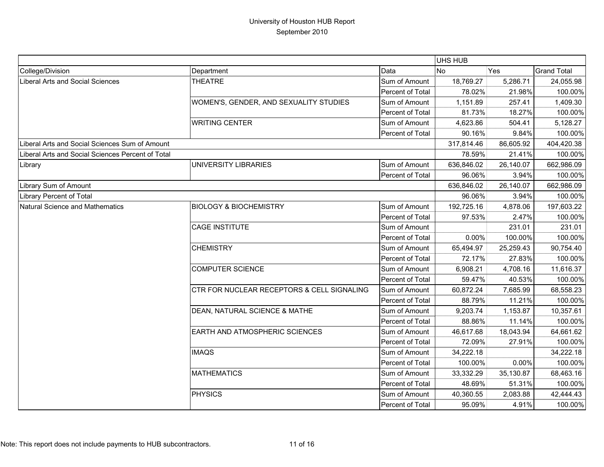|                                                   |                                            |                  | UHS HUB    |           |                    |
|---------------------------------------------------|--------------------------------------------|------------------|------------|-----------|--------------------|
| College/Division                                  | Department                                 | Data             | <b>No</b>  | Yes       | <b>Grand Total</b> |
| Liberal Arts and Social Sciences                  | <b>THEATRE</b>                             | Sum of Amount    | 18,769.27  | 5,286.71  | 24,055.98          |
|                                                   |                                            | Percent of Total | 78.02%     | 21.98%    | 100.00%            |
|                                                   | WOMEN'S, GENDER, AND SEXUALITY STUDIES     | Sum of Amount    | 1,151.89   | 257.41    | 1,409.30           |
|                                                   |                                            | Percent of Total | 81.73%     | 18.27%    | 100.00%            |
|                                                   | <b>WRITING CENTER</b>                      | Sum of Amount    | 4,623.86   | 504.41    | 5,128.27           |
|                                                   |                                            | Percent of Total | 90.16%     | 9.84%     | 100.00%            |
| Liberal Arts and Social Sciences Sum of Amount    |                                            |                  | 317,814.46 | 86,605.92 | 404,420.38         |
| Liberal Arts and Social Sciences Percent of Total |                                            |                  | 78.59%     | 21.41%    | 100.00%            |
| Library                                           | UNIVERSITY LIBRARIES                       | Sum of Amount    | 636,846.02 | 26,140.07 | 662,986.09         |
|                                                   |                                            | Percent of Total | 96.06%     | 3.94%     | 100.00%            |
| Library Sum of Amount                             |                                            |                  | 636,846.02 | 26,140.07 | 662,986.09         |
| Library Percent of Total                          |                                            |                  | 96.06%     | 3.94%     | 100.00%            |
| Natural Science and Mathematics                   | <b>BIOLOGY &amp; BIOCHEMISTRY</b>          | Sum of Amount    | 192,725.16 | 4,878.06  | 197,603.22         |
|                                                   |                                            | Percent of Total | 97.53%     | 2.47%     | 100.00%            |
|                                                   | <b>CAGE INSTITUTE</b>                      | Sum of Amount    |            | 231.01    | 231.01             |
|                                                   |                                            | Percent of Total | 0.00%      | 100.00%   | 100.00%            |
|                                                   | <b>CHEMISTRY</b>                           | Sum of Amount    | 65,494.97  | 25,259.43 | 90,754.40          |
|                                                   |                                            | Percent of Total | 72.17%     | 27.83%    | 100.00%            |
|                                                   | <b>COMPUTER SCIENCE</b>                    | Sum of Amount    | 6,908.21   | 4,708.16  | 11,616.37          |
|                                                   |                                            | Percent of Total | 59.47%     | 40.53%    | 100.00%            |
|                                                   | CTR FOR NUCLEAR RECEPTORS & CELL SIGNALING | Sum of Amount    | 60,872.24  | 7,685.99  | 68,558.23          |
|                                                   |                                            | Percent of Total | 88.79%     | 11.21%    | 100.00%            |
|                                                   | DEAN, NATURAL SCIENCE & MATHE              | Sum of Amount    | 9,203.74   | 1,153.87  | 10,357.61          |
|                                                   |                                            | Percent of Total | 88.86%     | 11.14%    | 100.00%            |
|                                                   | EARTH AND ATMOSPHERIC SCIENCES             | Sum of Amount    | 46,617.68  | 18,043.94 | 64,661.62          |
|                                                   |                                            | Percent of Total | 72.09%     | 27.91%    | 100.00%            |
|                                                   | <b>IMAQS</b>                               | Sum of Amount    | 34,222.18  |           | 34,222.18          |
|                                                   |                                            | Percent of Total | 100.00%    | 0.00%     | 100.00%            |
|                                                   | <b>MATHEMATICS</b>                         | Sum of Amount    | 33,332.29  | 35,130.87 | 68,463.16          |
|                                                   |                                            | Percent of Total | 48.69%     | 51.31%    | 100.00%            |
|                                                   | <b>PHYSICS</b>                             | Sum of Amount    | 40,360.55  | 2,083.88  | 42,444.43          |
|                                                   |                                            | Percent of Total | 95.09%     | 4.91%     | 100.00%            |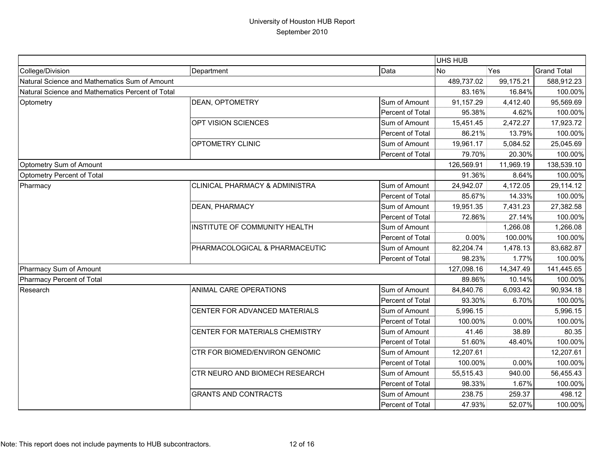|                                                  |                                |                  | <b>UHS HUB</b> |           |                    |
|--------------------------------------------------|--------------------------------|------------------|----------------|-----------|--------------------|
| College/Division                                 | Department                     | Data             | <b>No</b>      | Yes       | <b>Grand Total</b> |
| Natural Science and Mathematics Sum of Amount    |                                |                  | 489,737.02     | 99,175.21 | 588,912.23         |
| Natural Science and Mathematics Percent of Total |                                |                  | 83.16%         | 16.84%    | 100.00%            |
| Optometry                                        | DEAN, OPTOMETRY                | Sum of Amount    | 91,157.29      | 4,412.40  | 95,569.69          |
|                                                  |                                | Percent of Total | 95.38%         | 4.62%     | 100.00%            |
|                                                  | OPT VISION SCIENCES            | Sum of Amount    | 15,451.45      | 2,472.27  | 17,923.72          |
|                                                  |                                | Percent of Total | 86.21%         | 13.79%    | 100.00%            |
|                                                  | OPTOMETRY CLINIC               | Sum of Amount    | 19,961.17      | 5,084.52  | 25,045.69          |
|                                                  |                                | Percent of Total | 79.70%         | 20.30%    | 100.00%            |
| Optometry Sum of Amount                          |                                |                  | 126,569.91     | 11,969.19 | 138,539.10         |
| Optometry Percent of Total                       |                                |                  | 91.36%         | 8.64%     | 100.00%            |
| Pharmacy                                         | CLINICAL PHARMACY & ADMINISTRA | Sum of Amount    | 24,942.07      | 4,172.05  | 29,114.12          |
|                                                  |                                | Percent of Total | 85.67%         | 14.33%    | 100.00%            |
|                                                  | DEAN, PHARMACY                 | Sum of Amount    | 19,951.35      | 7,431.23  | 27,382.58          |
|                                                  |                                | Percent of Total | 72.86%         | 27.14%    | 100.00%            |
|                                                  | INSTITUTE OF COMMUNITY HEALTH  | Sum of Amount    |                | 1,266.08  | 1,266.08           |
|                                                  |                                | Percent of Total | 0.00%          | 100.00%   | 100.00%            |
|                                                  | PHARMACOLOGICAL & PHARMACEUTIC | Sum of Amount    | 82,204.74      | 1,478.13  | 83,682.87          |
|                                                  |                                | Percent of Total | 98.23%         | 1.77%     | 100.00%            |
| Pharmacy Sum of Amount                           |                                |                  | 127,098.16     | 14,347.49 | 141,445.65         |
| Pharmacy Percent of Total                        |                                |                  | 89.86%         | 10.14%    | 100.00%            |
| Research                                         | ANIMAL CARE OPERATIONS         | Sum of Amount    | 84,840.76      | 6,093.42  | 90,934.18          |
|                                                  |                                | Percent of Total | 93.30%         | 6.70%     | 100.00%            |
|                                                  | CENTER FOR ADVANCED MATERIALS  | Sum of Amount    | 5,996.15       |           | 5,996.15           |
|                                                  |                                | Percent of Total | 100.00%        | 0.00%     | 100.00%            |
|                                                  | CENTER FOR MATERIALS CHEMISTRY | Sum of Amount    | 41.46          | 38.89     | 80.35              |
|                                                  |                                | Percent of Total | 51.60%         | 48.40%    | 100.00%            |
|                                                  | CTR FOR BIOMED/ENVIRON GENOMIC | Sum of Amount    | 12,207.61      |           | 12,207.61          |
|                                                  |                                | Percent of Total | 100.00%        | 0.00%     | 100.00%            |
|                                                  | CTR NEURO AND BIOMECH RESEARCH | Sum of Amount    | 55,515.43      | 940.00    | 56,455.43          |
|                                                  |                                | Percent of Total | 98.33%         | 1.67%     | 100.00%            |
|                                                  | <b>GRANTS AND CONTRACTS</b>    | Sum of Amount    | 238.75         | 259.37    | 498.12             |
|                                                  |                                | Percent of Total | 47.93%         | 52.07%    | 100.00%            |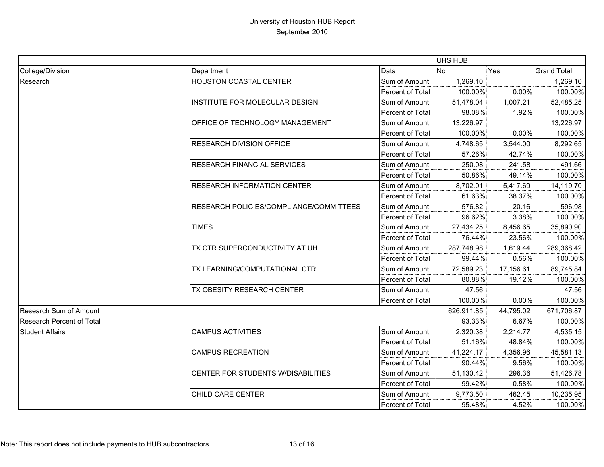|                           |                                         |                         | <b>UHS HUB</b> |            |                    |
|---------------------------|-----------------------------------------|-------------------------|----------------|------------|--------------------|
| College/Division          | Department                              | Data                    | <b>No</b>      | Yes        | <b>Grand Total</b> |
| Research                  | HOUSTON COASTAL CENTER                  | Sum of Amount           | 1,269.10       |            | 1,269.10           |
|                           |                                         | Percent of Total        | 100.00%        | 0.00%      | 100.00%            |
|                           | INSTITUTE FOR MOLECULAR DESIGN          | Sum of Amount           | 51,478.04      | 1,007.21   | 52,485.25          |
|                           |                                         | <b>Percent of Total</b> | 98.08%         | 1.92%      | 100.00%            |
|                           | OFFICE OF TECHNOLOGY MANAGEMENT         | Sum of Amount           | 13,226.97      |            | 13,226.97          |
|                           |                                         | Percent of Total        | 100.00%        | 0.00%      | 100.00%            |
|                           | <b>RESEARCH DIVISION OFFICE</b>         | Sum of Amount           | 4,748.65       | 3,544.00   | 8,292.65           |
|                           |                                         | Percent of Total        | 57.26%         | 42.74%     | 100.00%            |
|                           | <b>RESEARCH FINANCIAL SERVICES</b>      | Sum of Amount           | 250.08         | 241.58     | 491.66             |
|                           |                                         | Percent of Total        | 50.86%         | 49.14%     | 100.00%            |
|                           | <b>RESEARCH INFORMATION CENTER</b>      | Sum of Amount           | 8,702.01       | 5,417.69   | 14,119.70          |
|                           |                                         | Percent of Total        | 61.63%         | 38.37%     | 100.00%            |
|                           | RESEARCH POLICIES/COMPLIANCE/COMMITTEES | Sum of Amount           | 576.82         | 20.16      | 596.98             |
|                           |                                         | Percent of Total        | 96.62%         | 3.38%      | 100.00%            |
|                           | <b>TIMES</b>                            | Sum of Amount           | 27,434.25      | 8,456.65   | 35,890.90          |
|                           |                                         | Percent of Total        | 76.44%         | 23.56%     | 100.00%            |
|                           | TX CTR SUPERCONDUCTIVITY AT UH          | Sum of Amount           | 287,748.98     | 1,619.44   | 289,368.42         |
|                           |                                         | Percent of Total        | 99.44%         | 0.56%      | 100.00%            |
|                           | TX LEARNING/COMPUTATIONAL CTR           | Sum of Amount           | 72,589.23      | 17,156.61  | 89,745.84          |
|                           |                                         | Percent of Total        | 80.88%         | 19.12%     | 100.00%            |
|                           | TX OBESITY RESEARCH CENTER              | Sum of Amount           | 47.56          |            | 47.56              |
|                           |                                         | Percent of Total        | 100.00%        | 0.00%      | 100.00%            |
| Research Sum of Amount    |                                         | 626,911.85              | 44,795.02      | 671,706.87 |                    |
| Research Percent of Total |                                         |                         | 93.33%         | 6.67%      | 100.00%            |
| <b>Student Affairs</b>    | <b>CAMPUS ACTIVITIES</b>                | Sum of Amount           | 2,320.38       | 2,214.77   | 4,535.15           |
|                           |                                         | Percent of Total        | 51.16%         | 48.84%     | 100.00%            |
|                           | <b>CAMPUS RECREATION</b>                | Sum of Amount           | 41,224.17      | 4,356.96   | 45,581.13          |
|                           |                                         | Percent of Total        | 90.44%         | 9.56%      | 100.00%            |
|                           | CENTER FOR STUDENTS W/DISABILITIES      | Sum of Amount           | 51,130.42      | 296.36     | 51,426.78          |
|                           |                                         | Percent of Total        | 99.42%         | 0.58%      | 100.00%            |
|                           | CHILD CARE CENTER                       | Sum of Amount           | 9,773.50       | 462.45     | 10,235.95          |
|                           |                                         | <b>Percent of Total</b> | 95.48%         | 4.52%      | 100.00%            |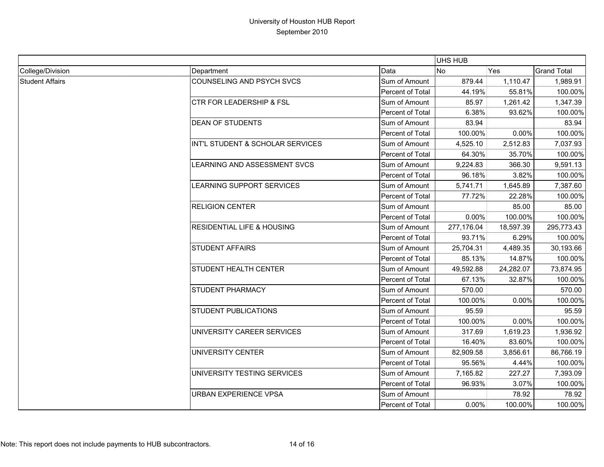|                        |                                       |                  | UHS HUB    |           |                    |
|------------------------|---------------------------------------|------------------|------------|-----------|--------------------|
| College/Division       | Department                            | Data             | <b>No</b>  | Yes       | <b>Grand Total</b> |
| <b>Student Affairs</b> | COUNSELING AND PSYCH SVCS             | Sum of Amount    | 879.44     | 1,110.47  | 1,989.91           |
|                        |                                       | Percent of Total | 44.19%     | 55.81%    | 100.00%            |
|                        | <b>CTR FOR LEADERSHIP &amp; FSL</b>   | Sum of Amount    | 85.97      | 1,261.42  | 1,347.39           |
|                        |                                       | Percent of Total | 6.38%      | 93.62%    | 100.00%            |
|                        | <b>DEAN OF STUDENTS</b>               | Sum of Amount    | 83.94      |           | 83.94              |
|                        |                                       | Percent of Total | 100.00%    | 0.00%     | 100.00%            |
|                        | INT'L STUDENT & SCHOLAR SERVICES      | Sum of Amount    | 4,525.10   | 2,512.83  | 7,037.93           |
|                        |                                       | Percent of Total | 64.30%     | 35.70%    | 100.00%            |
|                        | LEARNING AND ASSESSMENT SVCS          | Sum of Amount    | 9,224.83   | 366.30    | 9,591.13           |
|                        |                                       | Percent of Total | 96.18%     | 3.82%     | 100.00%            |
|                        | LEARNING SUPPORT SERVICES             | Sum of Amount    | 5,741.71   | 1,645.89  | 7,387.60           |
|                        |                                       | Percent of Total | 77.72%     | 22.28%    | 100.00%            |
|                        | <b>RELIGION CENTER</b>                | Sum of Amount    |            | 85.00     | 85.00              |
|                        |                                       | Percent of Total | 0.00%      | 100.00%   | 100.00%            |
|                        | <b>RESIDENTIAL LIFE &amp; HOUSING</b> | Sum of Amount    | 277,176.04 | 18,597.39 | 295,773.43         |
|                        |                                       | Percent of Total | 93.71%     | 6.29%     | 100.00%            |
|                        | <b>STUDENT AFFAIRS</b>                | Sum of Amount    | 25,704.31  | 4,489.35  | 30,193.66          |
|                        |                                       | Percent of Total | 85.13%     | 14.87%    | 100.00%            |
|                        | <b>STUDENT HEALTH CENTER</b>          | Sum of Amount    | 49,592.88  | 24,282.07 | 73,874.95          |
|                        |                                       | Percent of Total | 67.13%     | 32.87%    | 100.00%            |
|                        | <b>STUDENT PHARMACY</b>               | Sum of Amount    | 570.00     |           | 570.00             |
|                        |                                       | Percent of Total | 100.00%    | 0.00%     | 100.00%            |
|                        | <b>STUDENT PUBLICATIONS</b>           | Sum of Amount    | 95.59      |           | 95.59              |
|                        |                                       | Percent of Total | 100.00%    | 0.00%     | 100.00%            |
|                        | UNIVERSITY CAREER SERVICES            | Sum of Amount    | 317.69     | 1,619.23  | 1,936.92           |
|                        |                                       | Percent of Total | 16.40%     | 83.60%    | 100.00%            |
|                        | UNIVERSITY CENTER                     | Sum of Amount    | 82,909.58  | 3,856.61  | 86,766.19          |
|                        |                                       | Percent of Total | 95.56%     | 4.44%     | 100.00%            |
|                        | UNIVERSITY TESTING SERVICES           | Sum of Amount    | 7,165.82   | 227.27    | 7,393.09           |
|                        |                                       | Percent of Total | 96.93%     | 3.07%     | 100.00%            |
|                        | URBAN EXPERIENCE VPSA                 | Sum of Amount    |            | 78.92     | 78.92              |
|                        |                                       | Percent of Total | 0.00%      | 100.00%   | 100.00%            |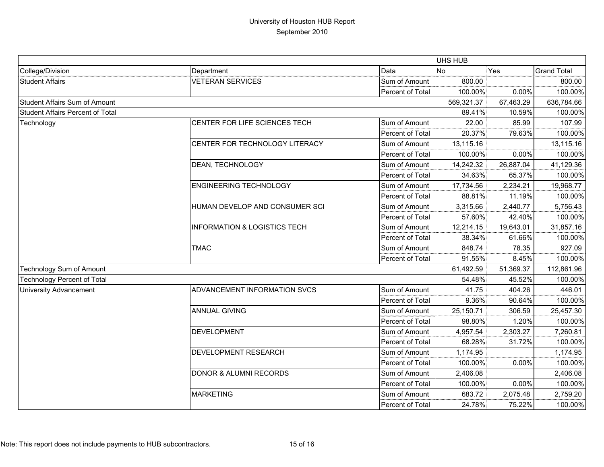|                                         |                                         |                  | UHS HUB    |           |                    |
|-----------------------------------------|-----------------------------------------|------------------|------------|-----------|--------------------|
| College/Division                        | Department                              | Data             | <b>No</b>  | Yes       | <b>Grand Total</b> |
| <b>Student Affairs</b>                  | <b>VETERAN SERVICES</b>                 | Sum of Amount    | 800.00     |           | 800.00             |
|                                         |                                         | Percent of Total | 100.00%    | 0.00%     | 100.00%            |
| <b>Student Affairs Sum of Amount</b>    |                                         |                  | 569,321.37 | 67,463.29 | 636,784.66         |
| <b>Student Affairs Percent of Total</b> |                                         |                  | 89.41%     | 10.59%    | 100.00%            |
| Technology                              | CENTER FOR LIFE SCIENCES TECH           | Sum of Amount    | 22.00      | 85.99     | 107.99             |
|                                         |                                         | Percent of Total | 20.37%     | 79.63%    | 100.00%            |
|                                         | CENTER FOR TECHNOLOGY LITERACY          | Sum of Amount    | 13,115.16  |           | 13,115.16          |
|                                         |                                         | Percent of Total | 100.00%    | 0.00%     | 100.00%            |
|                                         | DEAN, TECHNOLOGY                        | Sum of Amount    | 14,242.32  | 26,887.04 | 41,129.36          |
|                                         |                                         | Percent of Total | 34.63%     | 65.37%    | 100.00%            |
|                                         | <b>ENGINEERING TECHNOLOGY</b>           | Sum of Amount    | 17,734.56  | 2,234.21  | 19,968.77          |
|                                         |                                         | Percent of Total | 88.81%     | 11.19%    | 100.00%            |
|                                         | HUMAN DEVELOP AND CONSUMER SCI          | Sum of Amount    | 3,315.66   | 2,440.77  | 5,756.43           |
|                                         |                                         | Percent of Total | 57.60%     | 42.40%    | 100.00%            |
|                                         | <b>INFORMATION &amp; LOGISTICS TECH</b> | Sum of Amount    | 12,214.15  | 19,643.01 | 31,857.16          |
|                                         |                                         | Percent of Total | 38.34%     | 61.66%    | 100.00%            |
|                                         | <b>TMAC</b>                             | Sum of Amount    | 848.74     | 78.35     | 927.09             |
|                                         |                                         | Percent of Total | 91.55%     | 8.45%     | 100.00%            |
| Technology Sum of Amount                |                                         |                  | 61,492.59  | 51,369.37 | 112,861.96         |
| <b>Technology Percent of Total</b>      |                                         |                  | 54.48%     | 45.52%    | 100.00%            |
| <b>University Advancement</b>           | ADVANCEMENT INFORMATION SVCS            | Sum of Amount    | 41.75      | 404.26    | 446.01             |
|                                         |                                         | Percent of Total | 9.36%      | 90.64%    | 100.00%            |
|                                         | <b>ANNUAL GIVING</b>                    | Sum of Amount    | 25,150.71  | 306.59    | 25,457.30          |
|                                         |                                         | Percent of Total | 98.80%     | 1.20%     | 100.00%            |
|                                         | <b>DEVELOPMENT</b>                      | Sum of Amount    | 4,957.54   | 2,303.27  | 7,260.81           |
|                                         |                                         | Percent of Total | 68.28%     | 31.72%    | 100.00%            |
|                                         | DEVELOPMENT RESEARCH                    | Sum of Amount    | 1,174.95   |           | 1,174.95           |
|                                         |                                         | Percent of Total | 100.00%    | 0.00%     | 100.00%            |
|                                         | <b>DONOR &amp; ALUMNI RECORDS</b>       | Sum of Amount    | 2,406.08   |           | 2,406.08           |
|                                         |                                         | Percent of Total | 100.00%    | 0.00%     | 100.00%            |
|                                         | <b>MARKETING</b>                        | Sum of Amount    | 683.72     | 2,075.48  | 2,759.20           |
|                                         |                                         | Percent of Total | 24.78%     | 75.22%    | 100.00%            |